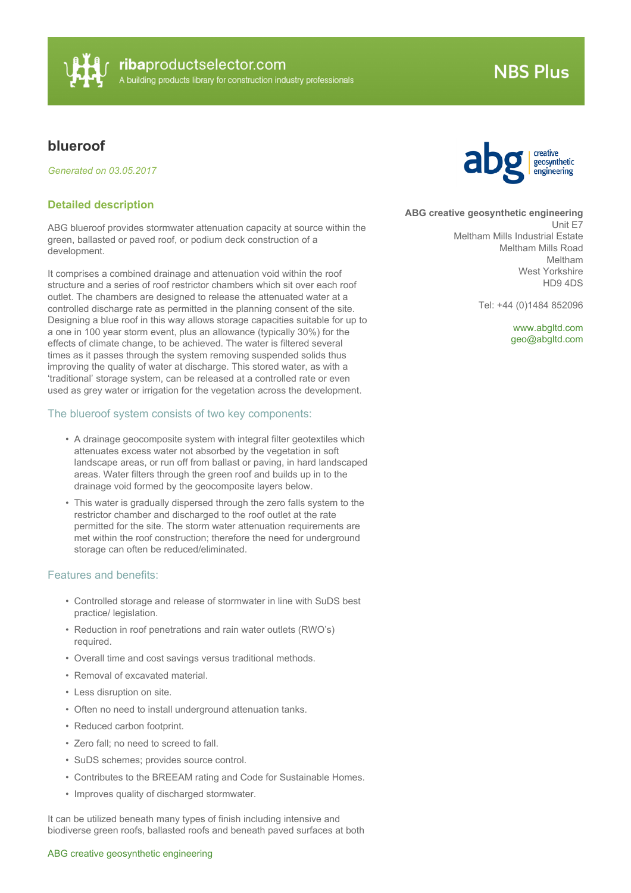

# **NBS Plus**

# **blueroof**

*Generated on 03.05.2017*

## **Detailed description**

ABG blueroof provides stormwater attenuation capacity at source within the green, ballasted or paved roof, or podium deck construction of a development.

It comprises a combined drainage and attenuation void within the roof structure and a series of roof restrictor chambers which sit over each roof outlet. The chambers are designed to release the attenuated water at a controlled discharge rate as permitted in the planning consent of the site. Designing a blue roof in this way allows storage capacities suitable for up to a one in 100 year storm event, plus an allowance (typically 30%) for the effects of climate change, to be achieved. The water is filtered several times as it passes through the system removing suspended solids thus improving the quality of water at discharge. This stored water, as with a 'traditional' storage system, can be released at a controlled rate or even used as grey water or irrigation for the vegetation across the development.

#### The blueroof system consists of two key components:

- A drainage geocomposite system with integral filter geotextiles which attenuates excess water not absorbed by the vegetation in soft landscape areas, or run off from ballast or paving, in hard landscaped areas. Water filters through the green roof and builds up in to the drainage void formed by the geocomposite layers below.
- This water is gradually dispersed through the zero falls system to the restrictor chamber and discharged to the roof outlet at the rate permitted for the site. The storm water attenuation requirements are met within the roof construction; therefore the need for underground storage can often be reduced/eliminated.

### Features and benefits:

- Controlled storage and release of stormwater in line with SuDS best practice/ legislation.
- Reduction in roof penetrations and rain water outlets (RWO's) required.
- Overall time and cost savings versus traditional methods.
- Removal of excavated material.
- Less disruption on site.
- Often no need to install underground attenuation tanks.
- Reduced carbon footprint.
- Zero fall; no need to screed to fall.
- SuDS schemes; provides source control.
- Contributes to the BREEAM rating and Code for Sustainable Homes.
- Improves quality of discharged stormwater.

It can be utilized beneath many types of finish including intensive and biodiverse green roofs, ballasted roofs and beneath paved surfaces at both

#### ABG creative geosynthetic engineering



**ABG creative geosynthetic engineering**

Unit E7 Meltham Mills Industrial Estate Meltham Mills Road Meltham West Yorkshire HD9 4DS

Tel: +44 (0)1484 852096

<www.abgltd.com> [geo@abgltd.com](mailto:geo@abgltd.com?subject=blueroof)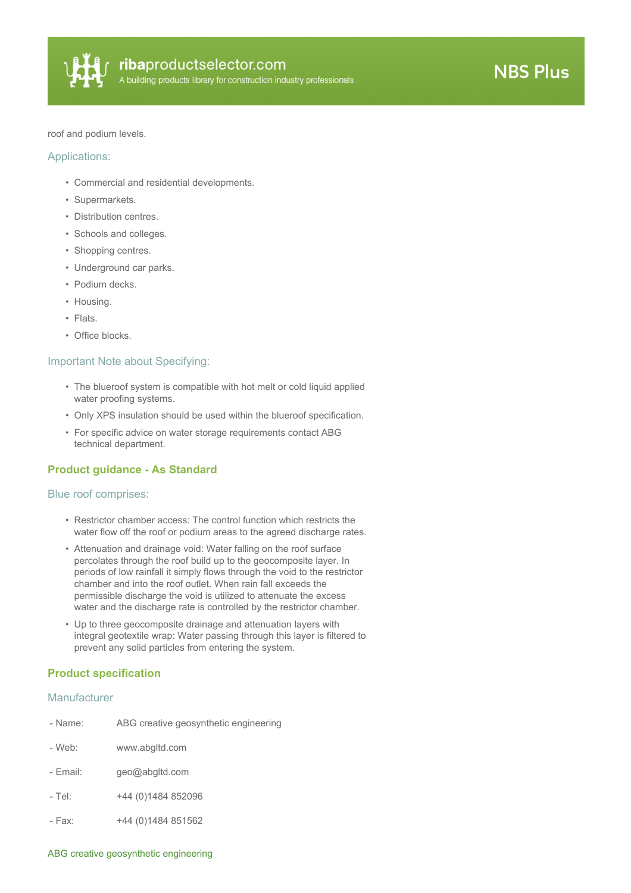

roof and podium levels.

#### Applications:

- Commercial and residential developments.
- Supermarkets.
- Distribution centres.
- Schools and colleges.
- Shopping centres.
- Underground car parks.
- Podium decks.
- Housing.
- Flats.
- Office blocks.

#### Important Note about Specifying:

- The blueroof system is compatible with hot melt or cold liquid applied water proofing systems.
- Only XPS insulation should be used within the blueroof specification.
- For specific advice on water storage requirements contact ABG technical department.

# **Product guidance - As Standard**

#### Blue roof comprises:

- Restrictor chamber access: The control function which restricts the water flow off the roof or podium areas to the agreed discharge rates.
- Attenuation and drainage void: Water falling on the roof surface percolates through the roof build up to the geocomposite layer. In periods of low rainfall it simply flows through the void to the restrictor chamber and into the roof outlet. When rain fall exceeds the permissible discharge the void is utilized to attenuate the excess water and the discharge rate is controlled by the restrictor chamber.
- Up to three geocomposite drainage and attenuation layers with integral geotextile wrap: Water passing through this layer is filtered to prevent any solid particles from entering the system.

#### **Product specification**

#### Manufacturer

| - Name:  | ABG creative geosynthetic engineering |
|----------|---------------------------------------|
| - Web:   | www.abgltd.com                        |
| - Fmail: | geo@abgltd.com                        |
| - Tel:   | +44 (0)1484 852096                    |
| - Fax:   | +44 (0) 1484 851562                   |

#### ABG creative geosynthetic engineering